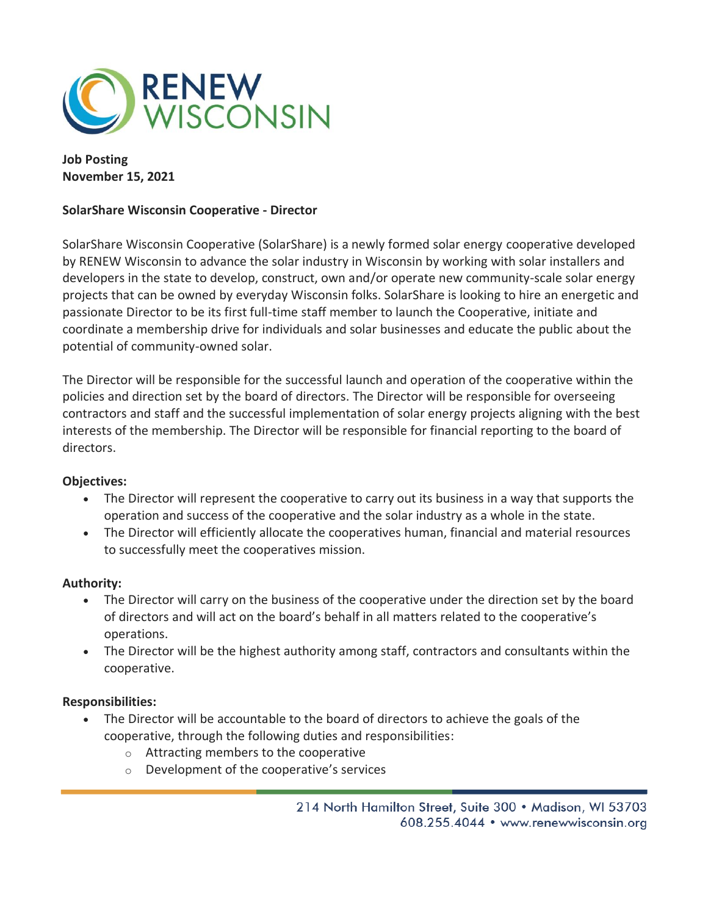

**Job Posting November 15, 2021**

## **SolarShare Wisconsin Cooperative - Director**

SolarShare Wisconsin Cooperative (SolarShare) is a newly formed solar energy cooperative developed by RENEW Wisconsin to advance the solar industry in Wisconsin by working with solar installers and developers in the state to develop, construct, own and/or operate new community-scale solar energy projects that can be owned by everyday Wisconsin folks. SolarShare is looking to hire an energetic and passionate Director to be its first full-time staff member to launch the Cooperative, initiate and coordinate a membership drive for individuals and solar businesses and educate the public about the potential of community-owned solar.

The Director will be responsible for the successful launch and operation of the cooperative within the policies and direction set by the board of directors. The Director will be responsible for overseeing contractors and staff and the successful implementation of solar energy projects aligning with the best interests of the membership. The Director will be responsible for financial reporting to the board of directors.

## **Objectives:**

- The Director will represent the cooperative to carry out its business in a way that supports the operation and success of the cooperative and the solar industry as a whole in the state.
- The Director will efficiently allocate the cooperatives human, financial and material resources to successfully meet the cooperatives mission.

## **Authority:**

- The Director will carry on the business of the cooperative under the direction set by the board of directors and will act on the board's behalf in all matters related to the cooperative's operations.
- The Director will be the highest authority among staff, contractors and consultants within the cooperative.

## **Responsibilities:**

- The Director will be accountable to the board of directors to achieve the goals of the cooperative, through the following duties and responsibilities:
	- o Attracting members to the cooperative
	- o Development of the cooperative's services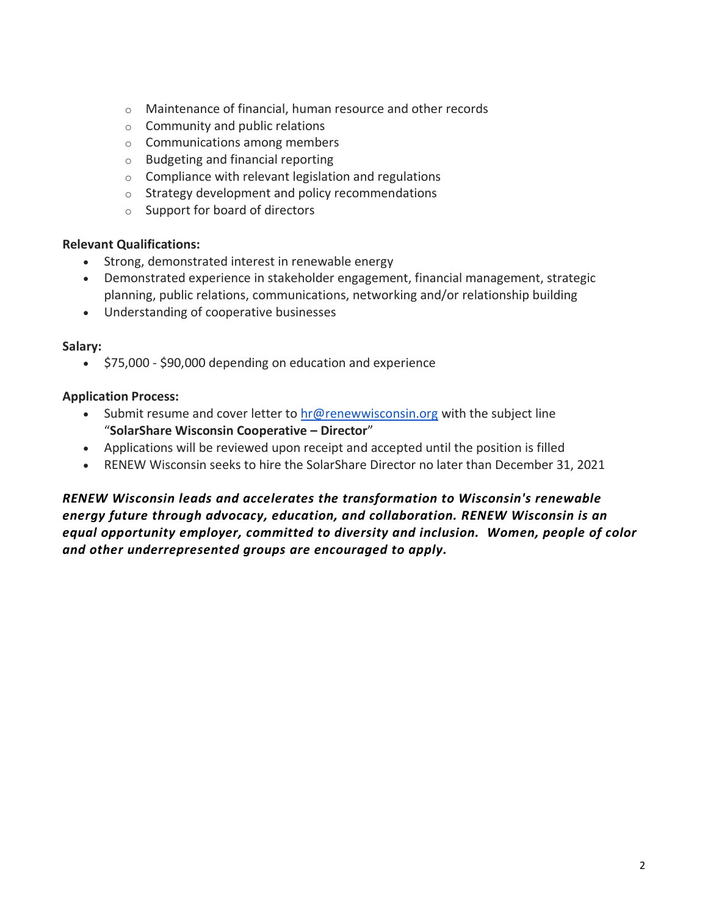- o Maintenance of financial, human resource and other records
- o Community and public relations
- o Communications among members
- o Budgeting and financial reporting
- o Compliance with relevant legislation and regulations
- o Strategy development and policy recommendations
- o Support for board of directors

## **Relevant Qualifications:**

- Strong, demonstrated interest in renewable energy
- Demonstrated experience in stakeholder engagement, financial management, strategic planning, public relations, communications, networking and/or relationship building
- Understanding of cooperative businesses

## **Salary:**

• \$75,000 - \$90,000 depending on education and experience

## **Application Process:**

- Submit resume and cover letter to  $hr@$  renewwisconsin.org with the subject line "**SolarShare Wisconsin Cooperative – Director**"
- Applications will be reviewed upon receipt and accepted until the position is filled
- RENEW Wisconsin seeks to hire the SolarShare Director no later than December 31, 2021

*RENEW Wisconsin leads and accelerates the transformation to Wisconsin's renewable energy future through advocacy, education, and collaboration. RENEW Wisconsin is an equal opportunity employer, committed to diversity and inclusion. Women, people of color and other underrepresented groups are encouraged to apply.*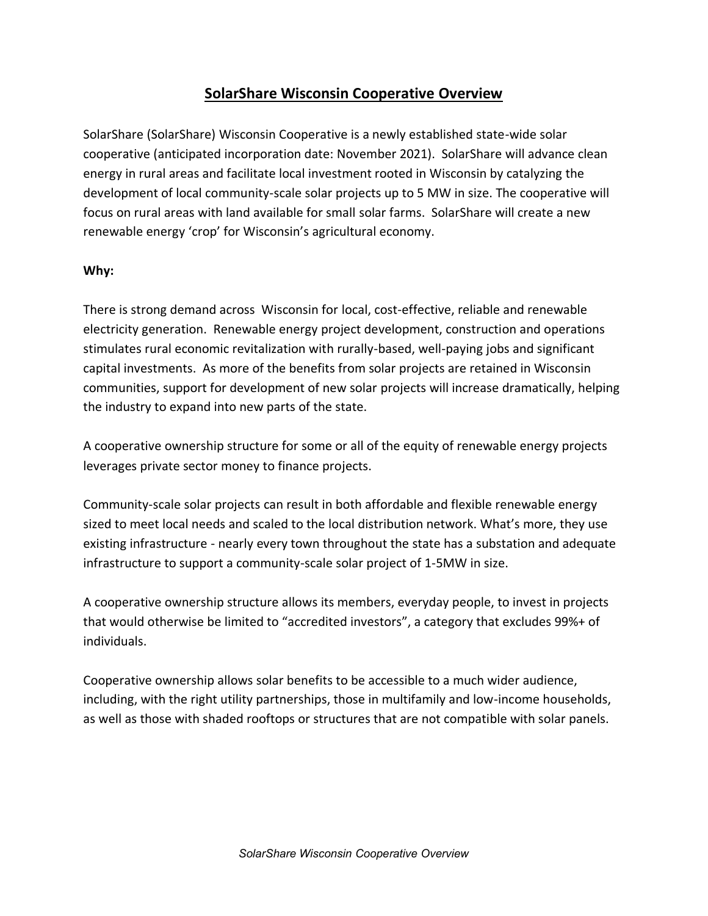## **SolarShare Wisconsin Cooperative Overview**

SolarShare (SolarShare) Wisconsin Cooperative is a newly established state-wide solar cooperative (anticipated incorporation date: November 2021). SolarShare will advance clean energy in rural areas and facilitate local investment rooted in Wisconsin by catalyzing the development of local community-scale solar projects up to 5 MW in size. The cooperative will focus on rural areas with land available for small solar farms. SolarShare will create a new renewable energy 'crop' for Wisconsin's agricultural economy.

## **Why:**

There is strong demand across Wisconsin for local, cost-effective, reliable and renewable electricity generation. Renewable energy project development, construction and operations stimulates rural economic revitalization with rurally-based, well-paying jobs and significant capital investments. As more of the benefits from solar projects are retained in Wisconsin communities, support for development of new solar projects will increase dramatically, helping the industry to expand into new parts of the state.

A cooperative ownership structure for some or all of the equity of renewable energy projects leverages private sector money to finance projects.

Community-scale solar projects can result in both affordable and flexible renewable energy sized to meet local needs and scaled to the local distribution network. What's more, they use existing infrastructure - nearly every town throughout the state has a substation and adequate infrastructure to support a community-scale solar project of 1-5MW in size.

A cooperative ownership structure allows its members, everyday people, to invest in projects that would otherwise be limited to "accredited investors", a category that excludes 99%+ of individuals.

Cooperative ownership allows solar benefits to be accessible to a much wider audience, including, with the right utility partnerships, those in multifamily and low-income households, as well as those with shaded rooftops or structures that are not compatible with solar panels.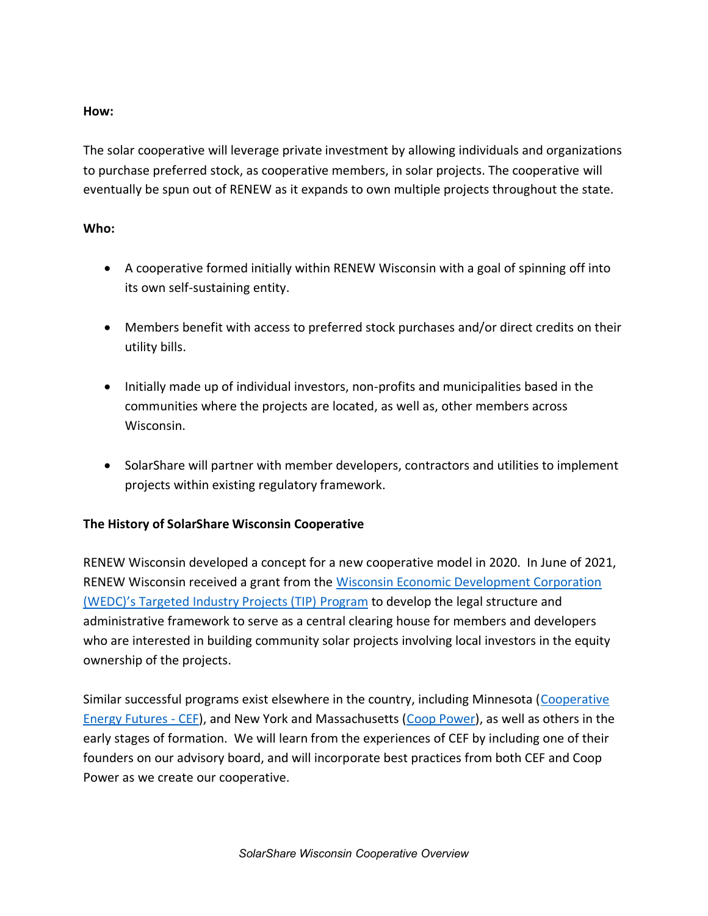## **How:**

The solar cooperative will leverage private investment by allowing individuals and organizations to purchase preferred stock, as cooperative members, in solar projects. The cooperative will eventually be spun out of RENEW as it expands to own multiple projects throughout the state.

## **Who:**

- A cooperative formed initially within RENEW Wisconsin with a goal of spinning off into its own self-sustaining entity.
- Members benefit with access to preferred stock purchases and/or direct credits on their utility bills.
- Initially made up of individual investors, non-profits and municipalities based in the communities where the projects are located, as well as, other members across Wisconsin.
- SolarShare will partner with member developers, contractors and utilities to implement projects within existing regulatory framework.

## **The History of SolarShare Wisconsin Cooperative**

RENEW Wisconsin developed a concept for a new cooperative model in 2020. In June of 2021, RENEW Wisconsin received a grant from the Wisconsin Economic Development Corporation (WEDC)'s Targeted Industry Projects (TIP) Program to develop the legal structure and administrative framework to serve as a central clearing house for members and developers who are interested in building community solar projects involving local investors in the equity ownership of the projects.

Similar successful programs exist elsewhere in the country, including Minnesota (Cooperative Energy Futures - CEF), and New York and Massachusetts (Coop Power), as well as others in the early stages of formation. We will learn from the experiences of CEF by including one of their founders on our advisory board, and will incorporate best practices from both CEF and Coop Power as we create our cooperative.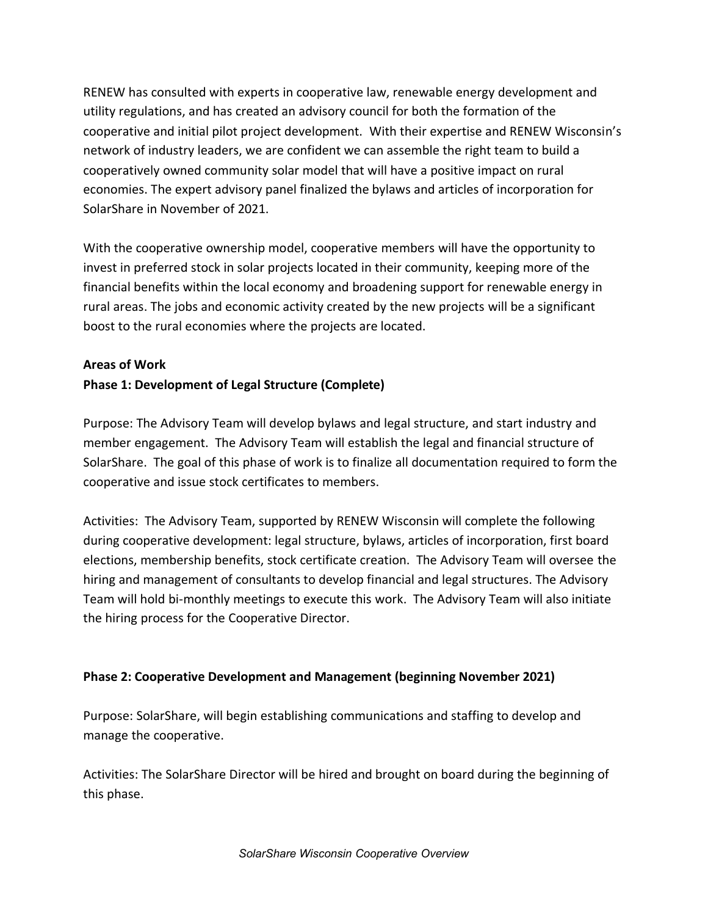RENEW has consulted with experts in cooperative law, renewable energy development and utility regulations, and has created an advisory council for both the formation of the cooperative and initial pilot project development. With their expertise and RENEW Wisconsin's network of industry leaders, we are confident we can assemble the right team to build a cooperatively owned community solar model that will have a positive impact on rural economies. The expert advisory panel finalized the bylaws and articles of incorporation for SolarShare in November of 2021.

With the cooperative ownership model, cooperative members will have the opportunity to invest in preferred stock in solar projects located in their community, keeping more of the financial benefits within the local economy and broadening support for renewable energy in rural areas. The jobs and economic activity created by the new projects will be a significant boost to the rural economies where the projects are located.

# **Areas of Work Phase 1: Development of Legal Structure (Complete)**

Purpose: The Advisory Team will develop bylaws and legal structure, and start industry and member engagement. The Advisory Team will establish the legal and financial structure of SolarShare. The goal of this phase of work is to finalize all documentation required to form the cooperative and issue stock certificates to members.

Activities: The Advisory Team, supported by RENEW Wisconsin will complete the following during cooperative development: legal structure, bylaws, articles of incorporation, first board elections, membership benefits, stock certificate creation. The Advisory Team will oversee the hiring and management of consultants to develop financial and legal structures. The Advisory Team will hold bi-monthly meetings to execute this work. The Advisory Team will also initiate the hiring process for the Cooperative Director.

## **Phase 2: Cooperative Development and Management (beginning November 2021)**

Purpose: SolarShare, will begin establishing communications and staffing to develop and manage the cooperative.

Activities: The SolarShare Director will be hired and brought on board during the beginning of this phase.